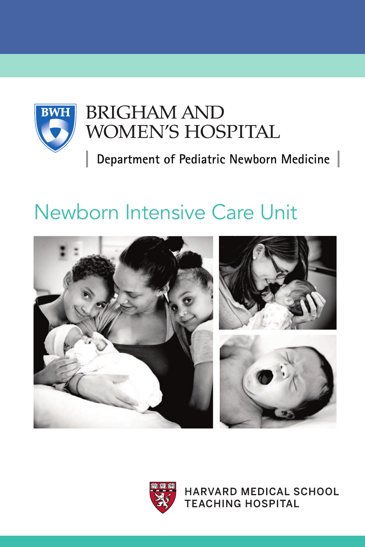

# **BRIGHAM AND** WOMEN'S HOSPITAL

Department of Pediatric Newborn Medicine

# Newborn Intensive Care Unit





**HARVARD MEDICAL SCHOOL TEACHING HOSPITAL**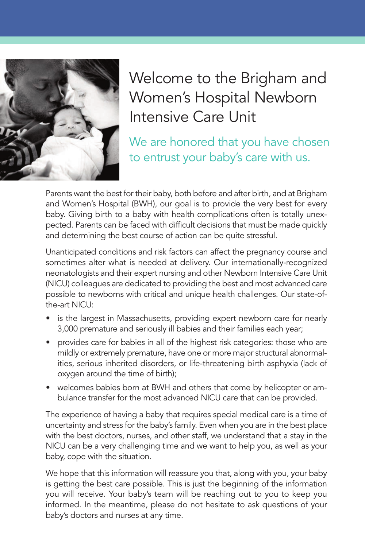

Welcome to the Brigham and Women's Hospital Newborn Intensive Care Unit

We are honored that you have chosen to entrust your baby's care with us.

Parents want the best for their baby, both before and after birth, and at Brigham and Women's Hospital (BWH), our goal is to provide the very best for every baby. Giving birth to a baby with health complications often is totally unexpected. Parents can be faced with difficult decisions that must be made quickly and determining the best course of action can be quite stressful.

Unanticipated conditions and risk factors can affect the pregnancy course and sometimes alter what is needed at delivery. Our internationally-recognized neonatologists and their expert nursing and other Newborn Intensive Care Unit (NICU) colleagues are dedicated to providing the best and most advanced care possible to newborns with critical and unique health challenges. Our state-ofthe-art NICU:

- is the largest in Massachusetts, providing expert newborn care for nearly 3,000 premature and seriously ill babies and their families each year;
- provides care for babies in all of the highest risk categories: those who are mildly or extremely premature, have one or more major structural abnormalities, serious inherited disorders, or life-threatening birth asphyxia (lack of oxygen around the time of birth);
- welcomes babies born at BWH and others that come by helicopter or ambulance transfer for the most advanced NICU care that can be provided.

The experience of having a baby that requires special medical care is a time of uncertainty and stress for the baby's family. Even when you are in the best place with the best doctors, nurses, and other staff, we understand that a stay in the NICU can be a very challenging time and we want to help you, as well as your baby, cope with the situation.

We hope that this information will reassure you that, along with you, your baby is getting the best care possible. This is just the beginning of the information you will receive. Your baby's team will be reaching out to you to keep you informed. In the meantime, please do not hesitate to ask questions of your baby's doctors and nurses at any time.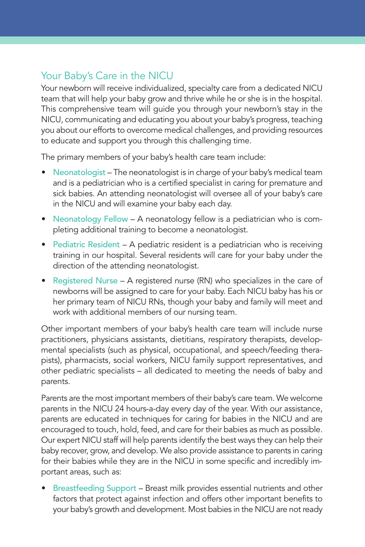## Your Baby's Care in the NICU

Your newborn will receive individualized, specialty care from a dedicated NICU team that will help your baby grow and thrive while he or she is in the hospital. This comprehensive team will guide you through your newborn's stay in the NICU, communicating and educating you about your baby's progress, teaching you about our efforts to overcome medical challenges, and providing resources to educate and support you through this challenging time.

The primary members of your baby's health care team include:

- Neonatologist The neonatologist is in charge of your baby's medical team and is a pediatrician who is a certified specialist in caring for premature and sick babies. An attending neonatologist will oversee all of your baby's care in the NICU and will examine your baby each day.
- Neonatology Fellow A neonatology fellow is a pediatrician who is completing additional training to become a neonatologist.
- Pediatric Resident A pediatric resident is a pediatrician who is receiving training in our hospital. Several residents will care for your baby under the direction of the attending neonatologist.
- Registered Nurse A registered nurse (RN) who specializes in the care of newborns will be assigned to care for your baby. Each NICU baby has his or her primary team of NICU RNs, though your baby and family will meet and work with additional members of our nursing team.

Other important members of your baby's health care team will include nurse practitioners, physicians assistants, dietitians, respiratory therapists, developmental specialists (such as physical, occupational, and speech/feeding therapists), pharmacists, social workers, NICU family support representatives, and other pediatric specialists – all dedicated to meeting the needs of baby and parents.

Parents are the most important members of their baby's care team. We welcome parents in the NICU 24 hours-a-day every day of the year. With our assistance, parents are educated in techniques for caring for babies in the NICU and are encouraged to touch, hold, feed, and care for their babies as much as possible. Our expert NICU staff will help parents identify the best ways they can help their baby recover, grow, and develop. We also provide assistance to parents in caring for their babies while they are in the NICU in some specific and incredibly important areas, such as:

• Breastfeeding Support – Breast milk provides essential nutrients and other factors that protect against infection and offers other important benefits to your baby's growth and development. Most babies in the NICU are not ready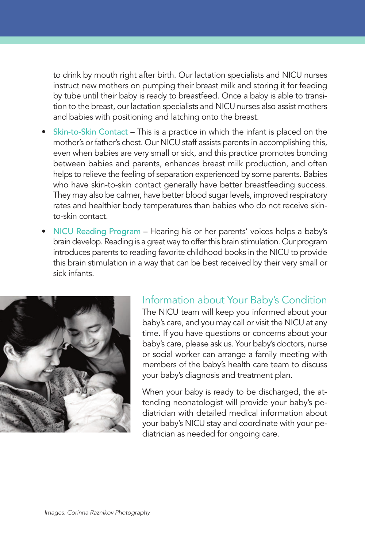to drink by mouth right after birth. Our lactation specialists and NICU nurses instruct new mothers on pumping their breast milk and storing it for feeding by tube until their baby is ready to breastfeed. Once a baby is able to transition to the breast, our lactation specialists and NICU nurses also assist mothers and babies with positioning and latching onto the breast.

- Skin-to-Skin Contact This is a practice in which the infant is placed on the mother's or father's chest. Our NICU staff assists parents in accomplishing this, even when babies are very small or sick, and this practice promotes bonding between babies and parents, enhances breast milk production, and often helps to relieve the feeling of separation experienced by some parents. Babies who have skin-to-skin contact generally have better breastfeeding success. They may also be calmer, have better blood sugar levels, improved respiratory rates and healthier body temperatures than babies who do not receive skinto-skin contact.
- NICU Reading Program Hearing his or her parents' voices helps a baby's brain develop. Reading is a great way to offer this brain stimulation. Our program introduces parents to reading favorite childhood books in the NICU to provide this brain stimulation in a way that can be best received by their very small or sick infants.



#### Information about Your Baby's Condition

The NICU team will keep you informed about your baby's care, and you may call or visit the NICU at any time. If you have questions or concerns about your baby's care, please ask us. Your baby's doctors, nurse or social worker can arrange a family meeting with members of the baby's health care team to discuss your baby's diagnosis and treatment plan.

When your baby is ready to be discharged, the attending neonatologist will provide your baby's pediatrician with detailed medical information about your baby's NICU stay and coordinate with your pediatrician as needed for ongoing care.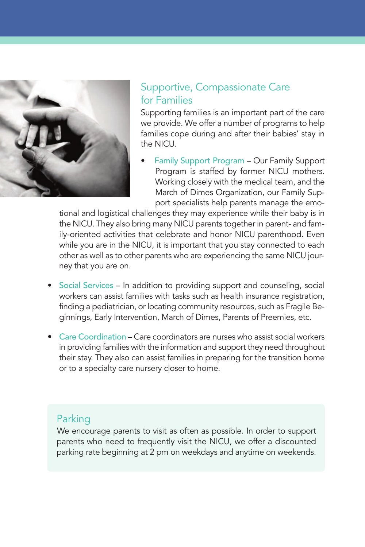

#### Supportive, Compassionate Care for Families

Supporting families is an important part of the care we provide. We offer a number of programs to help families cope during and after their babies' stay in the NICU.

• Family Support Program – Our Family Support Program is staffed by former NICU mothers. Working closely with the medical team, and the March of Dimes Organization, our Family Support specialists help parents manage the emo-

tional and logistical challenges they may experience while their baby is in the NICU. They also bring many NICU parents together in parent- and family-oriented activities that celebrate and honor NICU parenthood. Even while you are in the NICU, it is important that you stay connected to each other as well as to other parents who are experiencing the same NICU journey that you are on.

- Social Services In addition to providing support and counseling, social workers can assist families with tasks such as health insurance registration, finding a pediatrician, or locating community resources, such as Fragile Beginnings, Early Intervention, March of Dimes, Parents of Preemies, etc.
- Care Coordination Care coordinators are nurses who assist social workers in providing families with the information and support they need throughout their stay. They also can assist families in preparing for the transition home or to a specialty care nursery closer to home.

#### Parking

We encourage parents to visit as often as possible. In order to support parents who need to frequently visit the NICU, we offer a discounted parking rate beginning at 2 pm on weekdays and anytime on weekends.